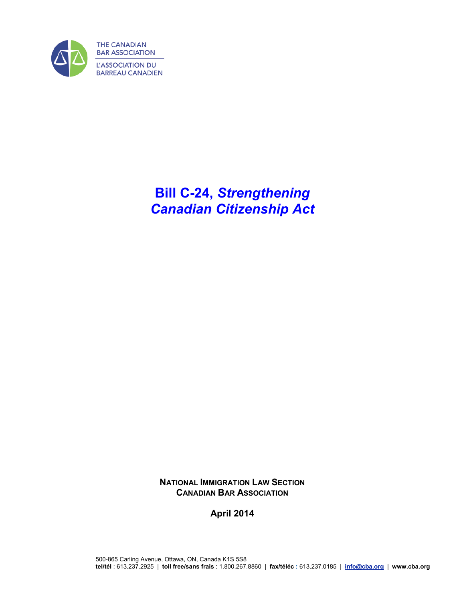

# **Bill C-24,** *Strengthening Canadian Citizenship Act*

**NATIONAL IMMIGRATION LAW SECTION CANADIAN BAR ASSOCIATION**

**April 2014**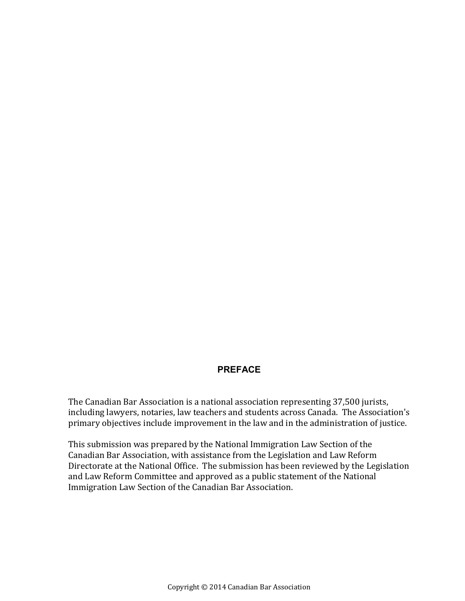### **PREFACE**

The Canadian Bar Association is a national association representing 37,500 jurists, including lawyers, notaries, law teachers and students across Canada. The Association's primary objectives include improvement in the law and in the administration of justice.

This submission was prepared by the National Immigration Law Section of the Canadian Bar Association, with assistance from the Legislation and Law Reform Directorate at the National Office. The submission has been reviewed by the Legislation and Law Reform Committee and approved as a public statement of the National Immigration Law Section of the Canadian Bar Association.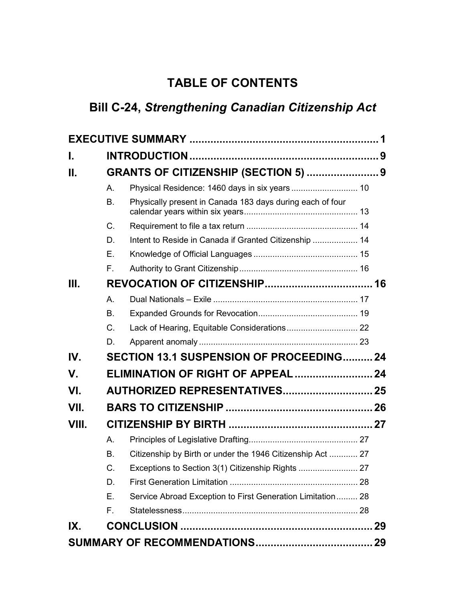## **TABLE OF CONTENTS**

# **Bill C-24,** *Strengthening Canadian Citizenship Act*

| I.    |           |                                                            |  |  |
|-------|-----------|------------------------------------------------------------|--|--|
| Ш.    |           | <b>GRANTS OF CITIZENSHIP (SECTION 5)  9</b>                |  |  |
|       | А.        | Physical Residence: 1460 days in six years  10             |  |  |
|       | <b>B.</b> | Physically present in Canada 183 days during each of four  |  |  |
|       | C.        |                                                            |  |  |
|       | D.        | Intent to Reside in Canada if Granted Citizenship  14      |  |  |
|       | E.        |                                                            |  |  |
|       | F.        |                                                            |  |  |
| III.  |           |                                                            |  |  |
|       | A.        |                                                            |  |  |
|       | <b>B.</b> |                                                            |  |  |
|       | C.        |                                                            |  |  |
|       | D.        |                                                            |  |  |
| IV.   |           | SECTION 13.1 SUSPENSION OF PROCEEDING24                    |  |  |
| V.    |           |                                                            |  |  |
| VI.   |           | <b>AUTHORIZED REPRESENTATIVES 25</b>                       |  |  |
| VII.  |           |                                                            |  |  |
| VIII. |           |                                                            |  |  |
|       | А.        |                                                            |  |  |
|       | <b>B.</b> | Citizenship by Birth or under the 1946 Citizenship Act  27 |  |  |
|       | C.        |                                                            |  |  |
|       | D.        |                                                            |  |  |
|       | Ε.        | Service Abroad Exception to First Generation Limitation 28 |  |  |
|       | F.        |                                                            |  |  |
| IX.   |           |                                                            |  |  |
|       |           |                                                            |  |  |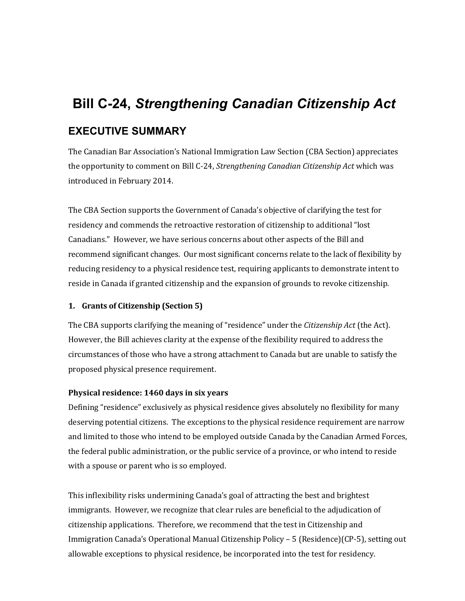# <span id="page-4-0"></span>**Bill C-24,** *Strengthening Canadian Citizenship Act* **EXECUTIVE SUMMARY**

The Canadian Bar Association's National Immigration Law Section (CBA Section) appreciates the opportunity to comment on Bill C-24, *Strengthening Canadian Citizenship Act* which was introduced in February 2014.

The CBA Section supports the Government of Canada's objective of clarifying the test for residency and commends the retroactive restoration of citizenship to additional "lost Canadians." However, we have serious concerns about other aspects of the Bill and recommend significant changes. Our most significant concerns relate to the lack of flexibility by reducing residency to a physical residence test, requiring applicants to demonstrate intent to reside in Canada if granted citizenship and the expansion of grounds to revoke citizenship.

#### **1. Grants of Citizenship (Section 5)**

The CBA supports clarifying the meaning of "residence" under the *Citizenship Act* (the Act). However, the Bill achieves clarity at the expense of the flexibility required to address the circumstances of those who have a strong attachment to Canada but are unable to satisfy the proposed physical presence requirement.

#### **Physical residence: 1460 days in six years**

Defining "residence" exclusively as physical residence gives absolutely no flexibility for many deserving potential citizens. The exceptions to the physical residence requirement are narrow and limited to those who intend to be employed outside Canada by the Canadian Armed Forces, the federal public administration, or the public service of a province, or who intend to reside with a spouse or parent who is so employed.

This inflexibility risks undermining Canada's goal of attracting the best and brightest immigrants. However, we recognize that clear rules are beneficial to the adjudication of citizenship applications. Therefore, we recommend that the test in Citizenship and Immigration Canada's Operational Manual Citizenship Policy – 5 (Residence)(CP-5), setting out allowable exceptions to physical residence, be incorporated into the test for residency.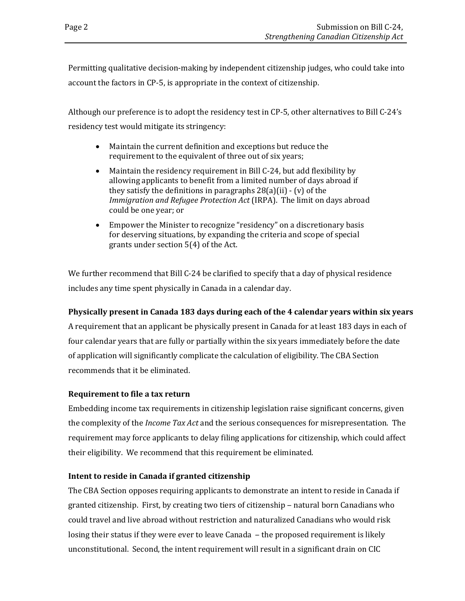Permitting qualitative decision-making by independent citizenship judges, who could take into account the factors in CP-5, is appropriate in the context of citizenship.

Although our preference is to adopt the residency test in CP-5, other alternatives to Bill C-24's residency test would mitigate its stringency:

- Maintain the current definition and exceptions but reduce the requirement to the equivalent of three out of six years;
- Maintain the residency requirement in Bill C-24, but add flexibility by allowing applicants to benefit from a limited number of days abroad if they satisfy the definitions in paragraphs  $28(a)(ii)$  - (v) of the *Immigration and Refugee Protection Act* (IRPA). The limit on days abroad could be one year; or
- Empower the Minister to recognize "residency" on a discretionary basis for deserving situations, by expanding the criteria and scope of special grants under section 5(4) of the Act.

We further recommend that Bill C-24 be clarified to specify that a day of physical residence includes any time spent physically in Canada in a calendar day.

### **Physically present in Canada 183 days during each of the 4 calendar years within six years**

A requirement that an applicant be physically present in Canada for at least 183 days in each of four calendar years that are fully or partially within the six years immediately before the date of application will significantly complicate the calculation of eligibility. The CBA Section recommends that it be eliminated.

### **Requirement to file a tax return**

Embedding income tax requirements in citizenship legislation raise significant concerns, given the complexity of the *Income Tax Act* and the serious consequences for misrepresentation. The requirement may force applicants to delay filing applications for citizenship, which could affect their eligibility. We recommend that this requirement be eliminated.

### **Intent to reside in Canada if granted citizenship**

The CBA Section opposes requiring applicants to demonstrate an intent to reside in Canada if granted citizenship. First, by creating two tiers of citizenship – natural born Canadians who could travel and live abroad without restriction and naturalized Canadians who would risk losing their status if they were ever to leave Canada – the proposed requirement is likely unconstitutional. Second, the intent requirement will result in a significant drain on CIC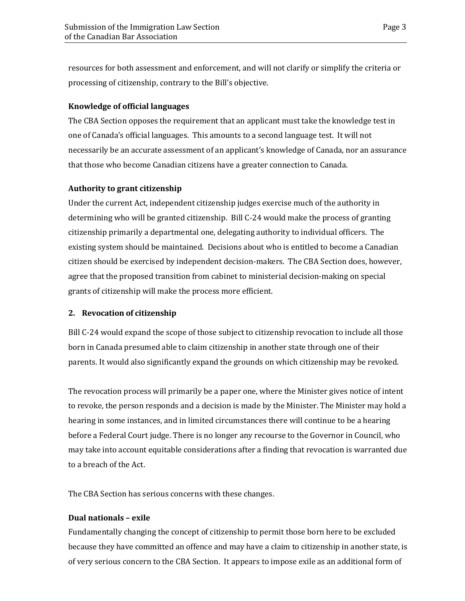resources for both assessment and enforcement, and will not clarify or simplify the criteria or processing of citizenship, contrary to the Bill's objective.

#### **Knowledge of official languages**

The CBA Section opposes the requirement that an applicant must take the knowledge test in one of Canada's official languages. This amounts to a second language test. It will not necessarily be an accurate assessment of an applicant's knowledge of Canada, nor an assurance that those who become Canadian citizens have a greater connection to Canada.

#### **Authority to grant citizenship**

Under the current Act, independent citizenship judges exercise much of the authority in determining who will be granted citizenship. Bill C-24 would make the process of granting citizenship primarily a departmental one, delegating authority to individual officers. The existing system should be maintained. Decisions about who is entitled to become a Canadian citizen should be exercised by independent decision-makers. The CBA Section does, however, agree that the proposed transition from cabinet to ministerial decision-making on special grants of citizenship will make the process more efficient.

#### **2. Revocation of citizenship**

Bill C-24 would expand the scope of those subject to citizenship revocation to include all those born in Canada presumed able to claim citizenship in another state through one of their parents. It would also significantly expand the grounds on which citizenship may be revoked.

The revocation process will primarily be a paper one, where the Minister gives notice of intent to revoke, the person responds and a decision is made by the Minister. The Minister may hold a hearing in some instances, and in limited circumstances there will continue to be a hearing before a Federal Court judge. There is no longer any recourse to the Governor in Council, who may take into account equitable considerations after a finding that revocation is warranted due to a breach of the Act.

The CBA Section has serious concerns with these changes.

#### **Dual nationals – exile**

Fundamentally changing the concept of citizenship to permit those born here to be excluded because they have committed an offence and may have a claim to citizenship in another state, is of very serious concern to the CBA Section. It appears to impose exile as an additional form of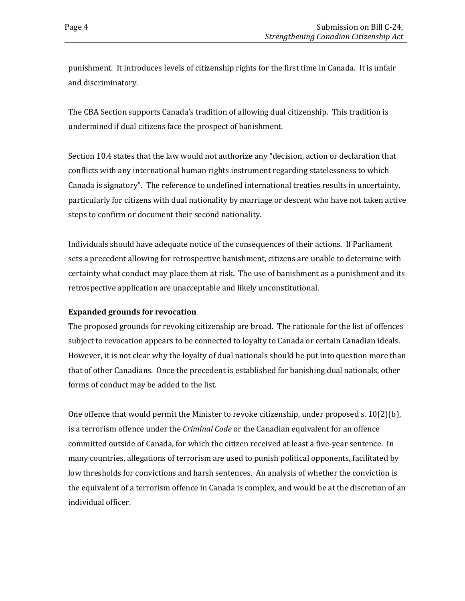punishment. It introduces levels of citizenship rights for the first time in Canada. It is unfair and discriminatory.

The CBA Section supports Canada's tradition of allowing dual citizenship. This tradition is undermined if dual citizens face the prospect of banishment.

Section 10.4 states that the law would not authorize any "decision, action or declaration that conflicts with any international human rights instrument regarding statelessness to which Canada is signatory". The reference to undefined international treaties results in uncertainty, particularly for citizens with dual nationality by marriage or descent who have not taken active steps to confirm or document their second nationality.

Individuals should have adequate notice of the consequences of their actions. If Parliament sets a precedent allowing for retrospective banishment, citizens are unable to determine with certainty what conduct may place them at risk. The use of banishment as a punishment and its retrospective application are unacceptable and likely unconstitutional.

### **Expanded grounds for revocation**

The proposed grounds for revoking citizenship are broad. The rationale for the list of offences subject to revocation appears to be connected to loyalty to Canada or certain Canadian ideals. However, it is not clear why the loyalty of dual nationals should be put into question more than that of other Canadians. Once the precedent is established for banishing dual nationals, other forms of conduct may be added to the list.

One offence that would permit the Minister to revoke citizenship, under proposed s.  $10(2)$ (b), is a terrorism offence under the *Criminal Code* or the Canadian equivalent for an offence committed outside of Canada, for which the citizen received at least a five-year sentence. In many countries, allegations of terrorism are used to punish political opponents, facilitated by low thresholds for convictions and harsh sentences. An analysis of whether the conviction is the equivalent of a terrorism offence in Canada is complex, and would be at the discretion of an individual officer.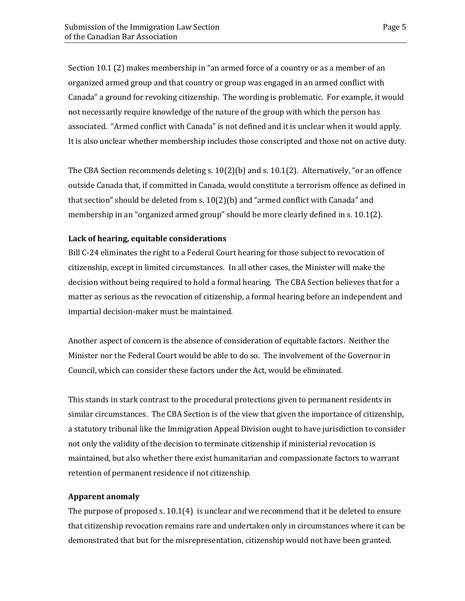Section 10.1 (2) makes membership in "an armed force of a country or as a member of an organized armed group and that country or group was engaged in an armed conflict with Canada" a ground for revoking citizenship. The wording is problematic. For example, it would not necessarily require knowledge of the nature of the group with which the person has associated. "Armed conflict with Canada" is not defined and it is unclear when it would apply. It is also unclear whether membership includes those conscripted and those not on active duty.

The CBA Section recommends deleting s. 10(2)(b) and s. 10.1(2). Alternatively, "or an offence outside Canada that, if committed in Canada, would constitute a terrorism offence as defined in that section" should be deleted from s. 10(2)(b) and "armed conflict with Canada" and membership in an "organized armed group" should be more clearly defined in s. 10.1(2).

#### **Lack of hearing, equitable considerations**

Bill C-24 eliminates the right to a Federal Court hearing for those subject to revocation of citizenship, except in limited circumstances. In all other cases, the Minister will make the decision without being required to hold a formal hearing. The CBA Section believes that for a matter as serious as the revocation of citizenship, a formal hearing before an independent and impartial decision-maker must be maintained.

Another aspect of concern is the absence of consideration of equitable factors. Neither the Minister nor the Federal Court would be able to do so. The involvement of the Governor in Council, which can consider these factors under the Act, would be eliminated.

This stands in stark contrast to the procedural protections given to permanent residents in similar circumstances. The CBA Section is of the view that given the importance of citizenship, a statutory tribunal like the Immigration Appeal Division ought to have jurisdiction to consider not only the validity of the decision to terminate citizenship if ministerial revocation is maintained, but also whether there exist humanitarian and compassionate factors to warrant retention of permanent residence if not citizenship.

#### **Apparent anomaly**

The purpose of proposed s. 10.1(4) is unclear and we recommend that it be deleted to ensure that citizenship revocation remains rare and undertaken only in circumstances where it can be demonstrated that but for the misrepresentation, citizenship would not have been granted.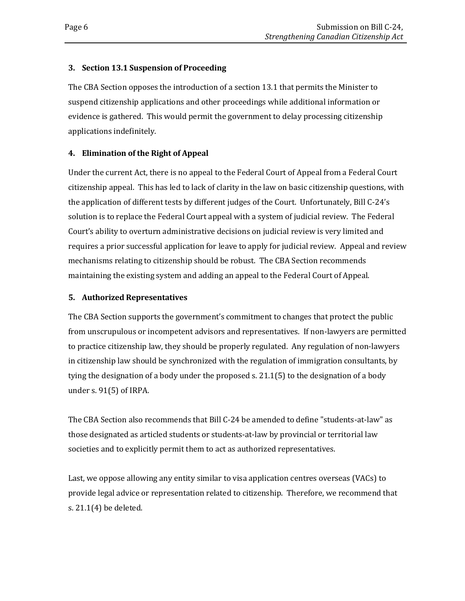#### **3. Section 13.1 Suspension of Proceeding**

The CBA Section opposes the introduction of a section 13.1 that permits the Minister to suspend citizenship applications and other proceedings while additional information or evidence is gathered. This would permit the government to delay processing citizenship applications indefinitely.

### **4. Elimination of the Right of Appeal**

Under the current Act, there is no appeal to the Federal Court of Appeal from a Federal Court citizenship appeal. This has led to lack of clarity in the law on basic citizenship questions, with the application of different tests by different judges of the Court. Unfortunately, Bill C-24's solution is to replace the Federal Court appeal with a system of judicial review. The Federal Court's ability to overturn administrative decisions on judicial review is very limited and requires a prior successful application for leave to apply for judicial review. Appeal and review mechanisms relating to citizenship should be robust. The CBA Section recommends maintaining the existing system and adding an appeal to the Federal Court of Appeal.

### **5. Authorized Representatives**

The CBA Section supports the government's commitment to changes that protect the public from unscrupulous or incompetent advisors and representatives. If non-lawyers are permitted to practice citizenship law, they should be properly regulated. Any regulation of non-lawyers in citizenship law should be synchronized with the regulation of immigration consultants, by tying the designation of a body under the proposed s. 21.1(5) to the designation of a body under s. 91(5) of IRPA.

The CBA Section also recommends that Bill C-24 be amended to define "students-at-law" as those designated as articled students or students-at-law by provincial or territorial law societies and to explicitly permit them to act as authorized representatives.

Last, we oppose allowing any entity similar to visa application centres overseas (VACs) to provide legal advice or representation related to citizenship. Therefore, we recommend that s. 21.1(4) be deleted.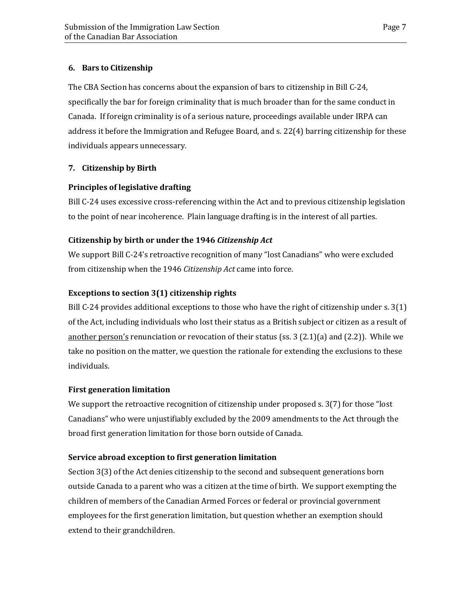### **6. Bars to Citizenship**

The CBA Section has concerns about the expansion of bars to citizenship in Bill C-24, specifically the bar for foreign criminality that is much broader than for the same conduct in Canada. If foreign criminality is of a serious nature, proceedings available under IRPA can address it before the Immigration and Refugee Board, and s. 22(4) barring citizenship for these individuals appears unnecessary.

### **7. Citizenship by Birth**

### **Principles of legislative drafting**

Bill C-24 uses excessive cross-referencing within the Act and to previous citizenship legislation to the point of near incoherence. Plain language drafting is in the interest of all parties.

### **Citizenship by birth or under the 1946** *Citizenship Act*

We support Bill C-24's retroactive recognition of many "lost Canadians" who were excluded from citizenship when the 1946 *Citizenship Act* came into force.

### **Exceptions to section 3(1) citizenship rights**

Bill C-24 provides additional exceptions to those who have the right of citizenship under s. 3(1) of the Act, including individuals who lost their status as a British subject or citizen as a result of another person's renunciation or revocation of their status (ss. 3 (2.1)(a) and (2.2)). While we take no position on the matter, we question the rationale for extending the exclusions to these individuals.

### **First generation limitation**

We support the retroactive recognition of citizenship under proposed s. 3(7) for those "lost Canadians" who were unjustifiably excluded by the 2009 amendments to the Act through the broad first generation limitation for those born outside of Canada.

### **Service abroad exception to first generation limitation**

Section 3(3) of the Act denies citizenship to the second and subsequent generations born outside Canada to a parent who was a citizen at the time of birth. We support exempting the children of members of the Canadian Armed Forces or federal or provincial government employees for the first generation limitation, but question whether an exemption should extend to their grandchildren.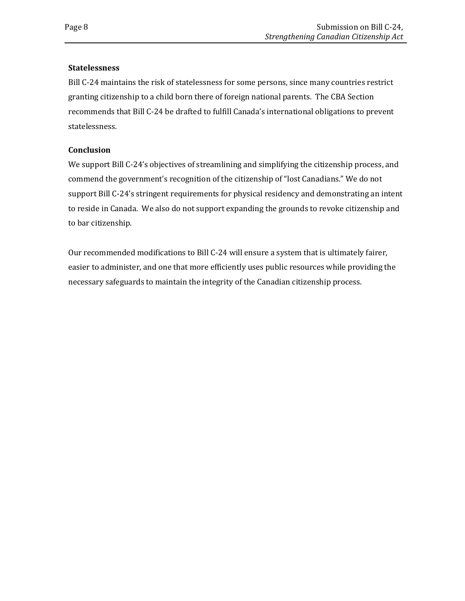#### **Statelessness**

Bill C-24 maintains the risk of statelessness for some persons, since many countries restrict granting citizenship to a child born there of foreign national parents. The CBA Section recommends that Bill C-24 be drafted to fulfill Canada's international obligations to prevent statelessness.

#### **Conclusion**

We support Bill C-24's objectives of streamlining and simplifying the citizenship process, and commend the government's recognition of the citizenship of "lost Canadians." We do not support Bill C-24's stringent requirements for physical residency and demonstrating an intent to reside in Canada. We also do not support expanding the grounds to revoke citizenship and to bar citizenship.

Our recommended modifications to Bill C-24 will ensure a system that is ultimately fairer, easier to administer, and one that more efficiently uses public resources while providing the necessary safeguards to maintain the integrity of the Canadian citizenship process.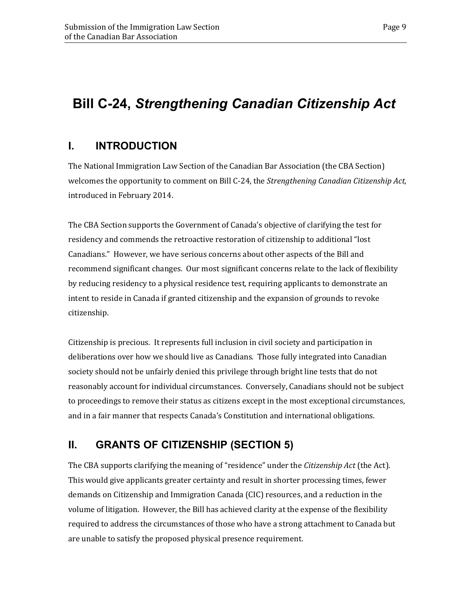# **Bill C-24,** *Strengthening Canadian Citizenship Act*

### <span id="page-12-0"></span>**I. INTRODUCTION**

The National Immigration Law Section of the Canadian Bar Association (the CBA Section) welcomes the opportunity to comment on Bill C-24, the *Strengthening Canadian Citizenship Act,*  introduced in February 2014.

The CBA Section supports the Government of Canada's objective of clarifying the test for residency and commends the retroactive restoration of citizenship to additional "lost Canadians." However, we have serious concerns about other aspects of the Bill and recommend significant changes. Our most significant concerns relate to the lack of flexibility by reducing residency to a physical residence test, requiring applicants to demonstrate an intent to reside in Canada if granted citizenship and the expansion of grounds to revoke citizenship.

Citizenship is precious. It represents full inclusion in civil society and participation in deliberations over how we should live as Canadians. Those fully integrated into Canadian society should not be unfairly denied this privilege through bright line tests that do not reasonably account for individual circumstances. Conversely, Canadians should not be subject to proceedings to remove their status as citizens except in the most exceptional circumstances, and in a fair manner that respects Canada's Constitution and international obligations.

### <span id="page-12-1"></span>**II. GRANTS OF CITIZENSHIP (SECTION 5)**

The CBA supports clarifying the meaning of "residence" under the *Citizenship Act* (the Act). This would give applicants greater certainty and result in shorter processing times, fewer demands on Citizenship and Immigration Canada (CIC) resources, and a reduction in the volume of litigation. However, the Bill has achieved clarity at the expense of the flexibility required to address the circumstances of those who have a strong attachment to Canada but are unable to satisfy the proposed physical presence requirement.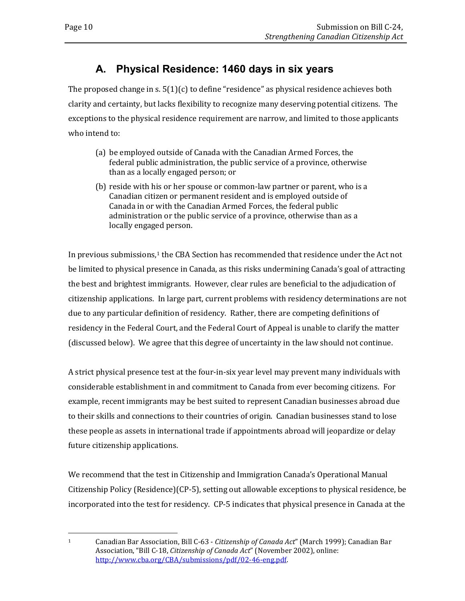### **A. Physical Residence: 1460 days in six years**

<span id="page-13-0"></span>The proposed change in s.  $5(1)(c)$  to define "residence" as physical residence achieves both clarity and certainty, but lacks flexibility to recognize many deserving potential citizens. The exceptions to the physical residence requirement are narrow, and limited to those applicants who intend to:

- (a) be employed outside of Canada with the Canadian Armed Forces, the federal public administration, the public service of a province, otherwise than as a locally engaged person; or
- (b) reside with his or her spouse or common-law partner or parent, who is a Canadian citizen or permanent resident and is employed outside of Canada in or with the Canadian Armed Forces, the federal public administration or the public service of a province, otherwise than as a locally engaged person.

In previous submissions,<sup>[1](#page-13-1)</sup> the CBA Section has recommended that residence under the Act not be limited to physical presence in Canada, as this risks undermining Canada's goal of attracting the best and brightest immigrants. However, clear rules are beneficial to the adjudication of citizenship applications. In large part, current problems with residency determinations are not due to any particular definition of residency. Rather, there are competing definitions of residency in the Federal Court, and the Federal Court of Appeal is unable to clarify the matter (discussed below). We agree that this degree of uncertainty in the law should not continue.

A strict physical presence test at the four-in-six year level may prevent many individuals with considerable establishment in and commitment to Canada from ever becoming citizens. For example, recent immigrants may be best suited to represent Canadian businesses abroad due to their skills and connections to their countries of origin. Canadian businesses stand to lose these people as assets in international trade if appointments abroad will jeopardize or delay future citizenship applications.

We recommend that the test in Citizenship and Immigration Canada's Operational Manual Citizenship Policy (Residence)(CP-5), setting out allowable exceptions to physical residence, be incorporated into the test for residency. CP-5 indicates that physical presence in Canada at the

<span id="page-13-1"></span> $\mathbf{1}$ 

<sup>1</sup> Canadian Bar Association, Bill C-63 - *Citizenship of Canada Act*" (March 1999); Canadian Bar Association, "Bill C-18, *Citizenship of Canada Act*" (November 2002), online: [http://www.cba.org/CBA/submissions/pdf/02-46-eng.pdf.](http://www.cba.org/CBA/submissions/pdf/02-46-eng.pdf)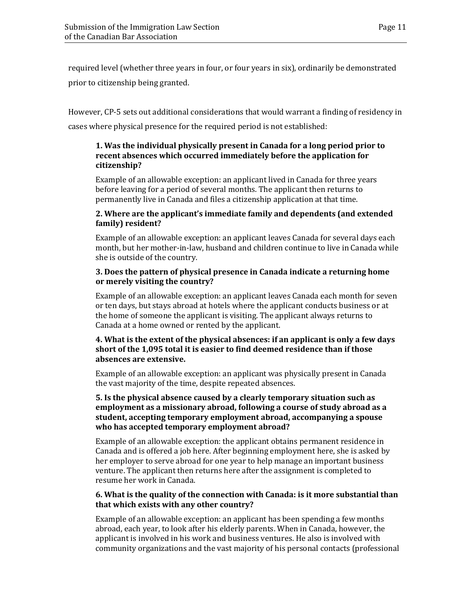required level (whether three years in four, or four years in six), ordinarily be demonstrated prior to citizenship being granted.

However, CP-5 sets out additional considerations that would warrant a finding of residency in cases where physical presence for the required period is not established:

#### **1. Was the individual physically present in Canada for a long period prior to recent absences which occurred immediately before the application for citizenship?**

Example of an allowable exception: an applicant lived in Canada for three years before leaving for a period of several months. The applicant then returns to permanently live in Canada and files a citizenship application at that time.

#### **2. Where are the applicant's immediate family and dependents (and extended family) resident?**

Example of an allowable exception: an applicant leaves Canada for several days each month, but her mother-in-law, husband and children continue to live in Canada while she is outside of the country.

#### **3. Does the pattern of physical presence in Canada indicate a returning home or merely visiting the country?**

Example of an allowable exception: an applicant leaves Canada each month for seven or ten days, but stays abroad at hotels where the applicant conducts business or at the home of someone the applicant is visiting. The applicant always returns to Canada at a home owned or rented by the applicant.

#### **4. What is the extent of the physical absences: if an applicant is only a few days short of the 1,095 total it is easier to find deemed residence than if those absences are extensive.**

Example of an allowable exception: an applicant was physically present in Canada the vast majority of the time, despite repeated absences.

#### **5. Is the physical absence caused by a clearly temporary situation such as employment as a missionary abroad, following a course of study abroad as a student, accepting temporary employment abroad, accompanying a spouse who has accepted temporary employment abroad?**

Example of an allowable exception: the applicant obtains permanent residence in Canada and is offered a job here. After beginning employment here, she is asked by her employer to serve abroad for one year to help manage an important business venture. The applicant then returns here after the assignment is completed to resume her work in Canada.

#### **6. What is the quality of the connection with Canada: is it more substantial than that which exists with any other country?**

Example of an allowable exception: an applicant has been spending a few months abroad, each year, to look after his elderly parents. When in Canada, however, the applicant is involved in his work and business ventures. He also is involved with community organizations and the vast majority of his personal contacts (professional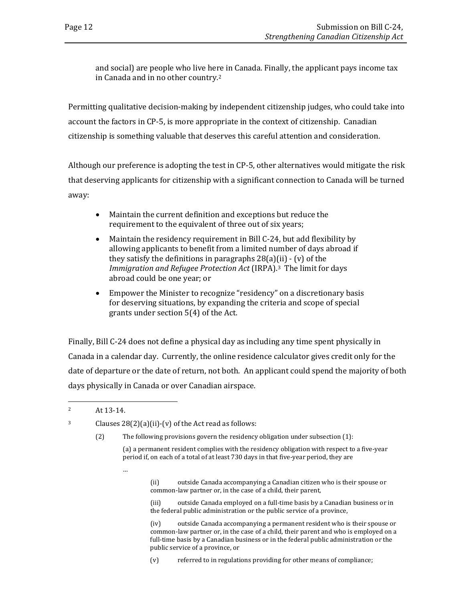and social) are people who live here in Canada. Finally, the applicant pays income tax in Canada and in no other country.[2](#page-15-0)

Permitting qualitative decision-making by independent citizenship judges, who could take into account the factors in CP-5, is more appropriate in the context of citizenship. Canadian citizenship is something valuable that deserves this careful attention and consideration.

Although our preference is adopting the test in CP-5, other alternatives would mitigate the risk that deserving applicants for citizenship with a significant connection to Canada will be turned away:

- Maintain the current definition and exceptions but reduce the requirement to the equivalent of three out of six years;
- Maintain the residency requirement in Bill C-24, but add flexibility by allowing applicants to benefit from a limited number of days abroad if they satisfy the definitions in paragraphs  $28(a)(ii)$  - (v) of the *Immigration and Refugee Protection Act* (IRPA).[3](#page-15-1) The limit for days abroad could be one year; or
- Empower the Minister to recognize "residency" on a discretionary basis for deserving situations, by expanding the criteria and scope of special grants under section 5(4) of the Act.

Finally, Bill C-24 does not define a physical day as including any time spent physically in Canada in a calendar day. Currently, the online residence calculator gives credit only for the date of departure or the date of return, not both. An applicant could spend the majority of both days physically in Canada or over Canadian airspace.

<span id="page-15-1"></span><sup>3</sup> Clauses  $28(2)(a)(ii)-(v)$  of the Act read as follows:

…

(2) The following provisions govern the residency obligation under subsection (1):

(a) a permanent resident complies with the residency obligation with respect to a five-year period if, on each of a total of at least 730 days in that five-year period, they are

> (ii) outside Canada accompanying a Canadian citizen who is their spouse or common-law partner or, in the case of a child, their parent,

(iii) outside Canada employed on a full-time basis by a Canadian business or in the federal public administration or the public service of a province,

(iv) outside Canada accompanying a permanent resident who is their spouse or common-law partner or, in the case of a child, their parent and who is employed on a full-time basis by a Canadian business or in the federal public administration or the public service of a province, or

(v) referred to in regulations providing for other means of compliance;

<span id="page-15-0"></span> $\overline{2}$ At 13-14.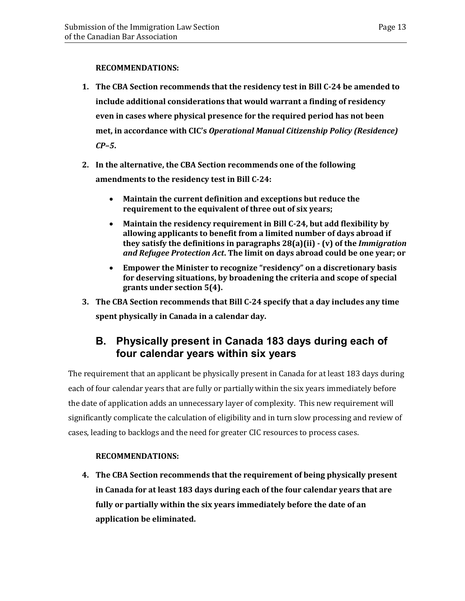#### **RECOMMENDATIONS:**

- **1. The CBA Section recommends that the residency test in Bill C-24 be amended to include additional considerations that would warrant a finding of residency even in cases where physical presence for the required period has not been met, in accordance with CIC's** *Operational Manual Citizenship Policy (Residence) CP–5***.**
- **2. In the alternative, the CBA Section recommends one of the following amendments to the residency test in Bill C-24:**
	- **Maintain the current definition and exceptions but reduce the requirement to the equivalent of three out of six years;**
	- **Maintain the residency requirement in Bill C-24, but add flexibility by allowing applicants to benefit from a limited number of days abroad if they satisfy the definitions in paragraphs 28(a)(ii) - (v) of the** *Immigration and Refugee Protection Act***. The limit on days abroad could be one year; or**
	- **Empower the Minister to recognize "residency" on a discretionary basis for deserving situations, by broadening the criteria and scope of special grants under section 5(4).**
- **3. The CBA Section recommends that Bill C-24 specify that a day includes any time spent physically in Canada in a calendar day.**

### <span id="page-16-0"></span>**B. Physically present in Canada 183 days during each of four calendar years within six years**

The requirement that an applicant be physically present in Canada for at least 183 days during each of four calendar years that are fully or partially within the six years immediately before the date of application adds an unnecessary layer of complexity. This new requirement will significantly complicate the calculation of eligibility and in turn slow processing and review of cases, leading to backlogs and the need for greater CIC resources to process cases.

### **RECOMMENDATIONS:**

**4. The CBA Section recommends that the requirement of being physically present in Canada for at least 183 days during each of the four calendar years that are fully or partially within the six years immediately before the date of an application be eliminated.**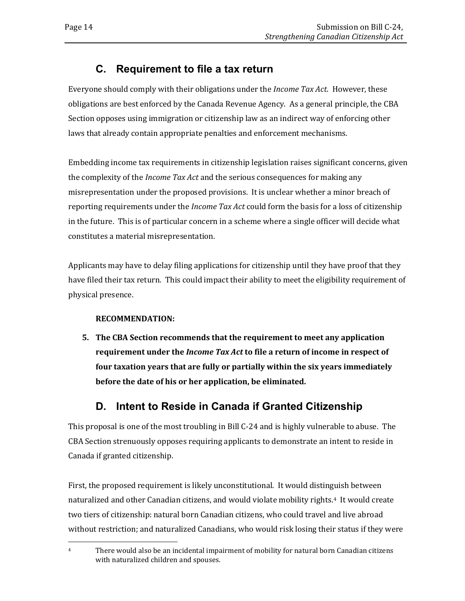### **C. Requirement to file a tax return**

<span id="page-17-0"></span>Everyone should comply with their obligations under the *Income Tax Act*. However, these obligations are best enforced by the Canada Revenue Agency. As a general principle, the CBA Section opposes using immigration or citizenship law as an indirect way of enforcing other laws that already contain appropriate penalties and enforcement mechanisms.

Embedding income tax requirements in citizenship legislation raises significant concerns, given the complexity of the *Income Tax Act* and the serious consequences for making any misrepresentation under the proposed provisions. It is unclear whether a minor breach of reporting requirements under the *Income Tax Act* could form the basis for a loss of citizenship in the future. This is of particular concern in a scheme where a single officer will decide what constitutes a material misrepresentation.

Applicants may have to delay filing applications for citizenship until they have proof that they have filed their tax return. This could impact their ability to meet the eligibility requirement of physical presence.

### **RECOMMENDATION:**

**5. The CBA Section recommends that the requirement to meet any application requirement under the** *Income Tax Act* **to file a return of income in respect of four taxation years that are fully or partially within the six years immediately before the date of his or her application, be eliminated.** 

### **D. Intent to Reside in Canada if Granted Citizenship**

<span id="page-17-1"></span>This proposal is one of the most troubling in Bill C-24 and is highly vulnerable to abuse. The CBA Section strenuously opposes requiring applicants to demonstrate an intent to reside in Canada if granted citizenship.

First, the proposed requirement is likely unconstitutional. It would distinguish between naturalized and other Canadian citizens, and would violate mobility rights[.4](#page-17-2) It would create two tiers of citizenship: natural born Canadian citizens, who could travel and live abroad without restriction; and naturalized Canadians, who would risk losing their status if they were

<span id="page-17-2"></span> $\overline{4}$ There would also be an incidental impairment of mobility for natural born Canadian citizens with naturalized children and spouses.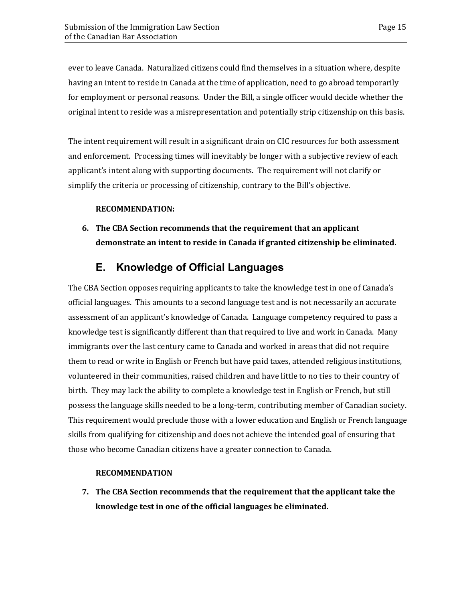ever to leave Canada. Naturalized citizens could find themselves in a situation where, despite having an intent to reside in Canada at the time of application, need to go abroad temporarily for employment or personal reasons. Under the Bill, a single officer would decide whether the original intent to reside was a misrepresentation and potentially strip citizenship on this basis.

The intent requirement will result in a significant drain on CIC resources for both assessment and enforcement. Processing times will inevitably be longer with a subjective review of each applicant's intent along with supporting documents. The requirement will not clarify or simplify the criteria or processing of citizenship, contrary to the Bill's objective.

#### **RECOMMENDATION:**

**6. The CBA Section recommends that the requirement that an applicant demonstrate an intent to reside in Canada if granted citizenship be eliminated.** 

### **E. Knowledge of Official Languages**

<span id="page-18-0"></span>The CBA Section opposes requiring applicants to take the knowledge test in one of Canada's official languages. This amounts to a second language test and is not necessarily an accurate assessment of an applicant's knowledge of Canada. Language competency required to pass a knowledge test is significantly different than that required to live and work in Canada. Many immigrants over the last century came to Canada and worked in areas that did not require them to read or write in English or French but have paid taxes, attended religious institutions, volunteered in their communities, raised children and have little to no ties to their country of birth. They may lack the ability to complete a knowledge test in English or French, but still possess the language skills needed to be a long-term, contributing member of Canadian society. This requirement would preclude those with a lower education and English or French language skills from qualifying for citizenship and does not achieve the intended goal of ensuring that those who become Canadian citizens have a greater connection to Canada.

#### **RECOMMENDATION**

**7. The CBA Section recommends that the requirement that the applicant take the knowledge test in one of the official languages be eliminated.**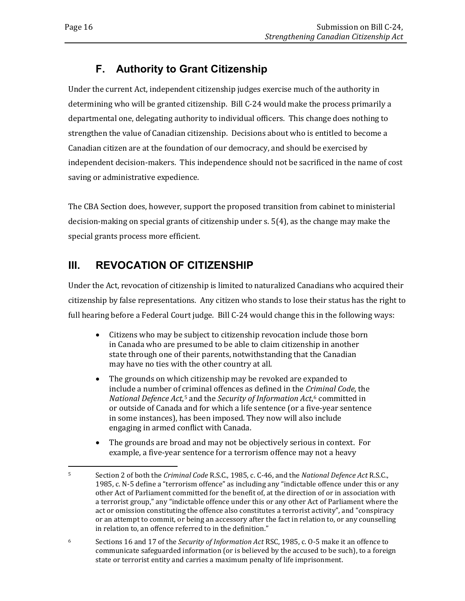### **F. Authority to Grant Citizenship**

<span id="page-19-0"></span>Under the current Act, independent citizenship judges exercise much of the authority in determining who will be granted citizenship. Bill C-24 would make the process primarily a departmental one, delegating authority to individual officers. This change does nothing to strengthen the value of Canadian citizenship. Decisions about who is entitled to become a Canadian citizen are at the foundation of our democracy, and should be exercised by independent decision-makers. This independence should not be sacrificed in the name of cost saving or administrative expedience.

The CBA Section does, however, support the proposed transition from cabinet to ministerial decision-making on special grants of citizenship under s. 5(4), as the change may make the special grants process more efficient.

### <span id="page-19-1"></span>**III. REVOCATION OF CITIZENSHIP**

Under the Act, revocation of citizenship is limited to naturalized Canadians who acquired their citizenship by false representations. Any citizen who stands to lose their status has the right to full hearing before a Federal Court judge. Bill C-24 would change this in the following ways:

- Citizens who may be subject to citizenship revocation include those born in Canada who are presumed to be able to claim citizenship in another state through one of their parents, notwithstanding that the Canadian may have no ties with the other country at all.
- The grounds on which citizenship may be revoked are expanded to include a number of [cr](#page-19-2)iminal offences as defined in the *Criminal Code*, the *National Defence Act*,5 and the *Security of Information Act*,[6](#page-19-3) committed in or outside of Canada and for which a life sentence (or a five-year sentence in some instances), has been imposed. They now will also include engaging in armed conflict with Canada.
- The grounds are broad and may not be objectively serious in context. For example, a five-year sentence for a terrorism offence may not a heavy

<span id="page-19-3"></span><sup>6</sup> Sections 16 and 17 of the *Security of Information Act* RSC, 1985, c. O-5 make it an offence to communicate safeguarded information (or is believed by the accused to be such), to a foreign state or terrorist entity and carries a maximum penalty of life imprisonment.

<span id="page-19-2"></span><sup>5</sup> <sup>5</sup> Section 2 of both the *Criminal Code* R.S.C., 1985, c. C-46, and the *National Defence Act* R.S.C., 1985, c. N-5 define a "terrorism offence" as including any "indictable offence under this or any other Act of Parliament committed for the benefit of, at the direction of or in association with a terrorist group," any "indictable offence under this or any other Act of Parliament where the act or omission constituting the offence also constitutes a terrorist activity", and "conspiracy or an attempt to commit, or being an accessory after the fact in relation to, or any counselling in relation to, an offence referred to in the definition."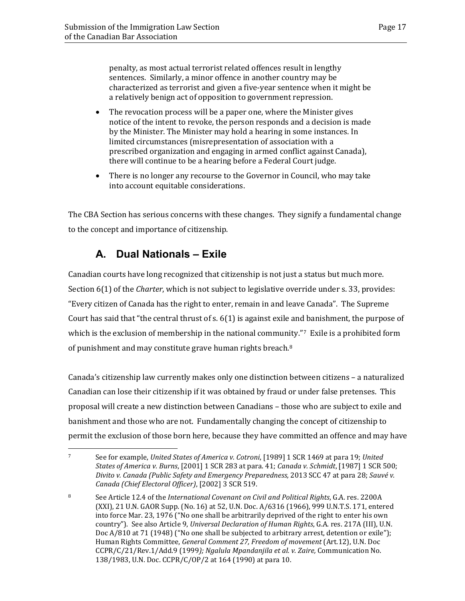penalty, as most actual terrorist related offences result in lengthy sentences. Similarly, a minor offence in another country may be characterized as terrorist and given a five-year sentence when it might be a relatively benign act of opposition to government repression.

- The revocation process will be a paper one, where the Minister gives notice of the intent to revoke, the person responds and a decision is made by the Minister. The Minister may hold a hearing in some instances. In limited circumstances (misrepresentation of association with a prescribed organization and engaging in armed conflict against Canada), there will continue to be a hearing before a Federal Court judge.
- There is no longer any recourse to the Governor in Council, who may take into account equitable considerations.

<span id="page-20-0"></span>The CBA Section has serious concerns with these changes. They signify a fundamental change to the concept and importance of citizenship.

### **A. Dual Nationals – Exile**

Canadian courts have long recognized that citizenship is not just a status but much more. Section 6(1) of the *Charter*, which is not subject to legislative override under s. 33, provides: "Every citizen of Canada has the right to enter, remain in and leave Canada". The Supreme Court has said that "the central thrust of s. 6(1) is against exile and banishment, the purpose of which is the exclusion of membership in the national community."[7](#page-20-1) Exile is a prohibited form of punishment and may constitute grave human rights breach.[8](#page-20-2)

Canada's citizenship law currently makes only one distinction between citizens – a naturalized Canadian can lose their citizenship if it was obtained by fraud or under false pretenses. This proposal will create a new distinction between Canadians – those who are subject to exile and banishment and those who are not. Fundamentally changing the concept of citizenship to permit the exclusion of those born here, because they have committed an offence and may have

<span id="page-20-1"></span> $\overline{7}$ <sup>7</sup> See for example, *United States of America v. Cotroni*, [1989] 1 SCR 1469 at para 19; *United States of America v. Burns*, [2001] 1 SCR 283 at para. 41; *Canada v. Schmidt*, [1987] 1 SCR 500; *Divito v. Canada (Public Safety and Emergency Preparedness,* 2013 SCC 47 at para 28; *Sauvé v. Canada (Chief Electoral Officer)*, [2002] 3 SCR 519.

<span id="page-20-2"></span><sup>8</sup> See Article 12.4 of the *International Covenant on Civil and Political Rights*, G.A. res. 2200A (XXI), 21 U.N. GAOR Supp. (No. 16) at 52, U.N. Doc. A/6316 (1966), 999 U.N.T.S. 171, entered into force Mar. 23, 1976 ("No one shall be arbitrarily deprived of the right to enter his own country"). See also Article 9, *Universal Declaration of Human Rights*, G.A. res. 217A (III), U.N. Doc A/810 at 71 (1948) ("No one shall be subjected to arbitrary arrest, detention or exile"); Human Rights Committee, *General Comment 27, Freedom of movement* (Art.12), U.N. Doc CCPR/C/21/Rev.1/Add.9 (1999*); Ngalula Mpandanjila et al. v. Zaire,* Communication No. 138/1983, U.N. Doc. CCPR/C/OP/2 at 164 (1990) at para 10.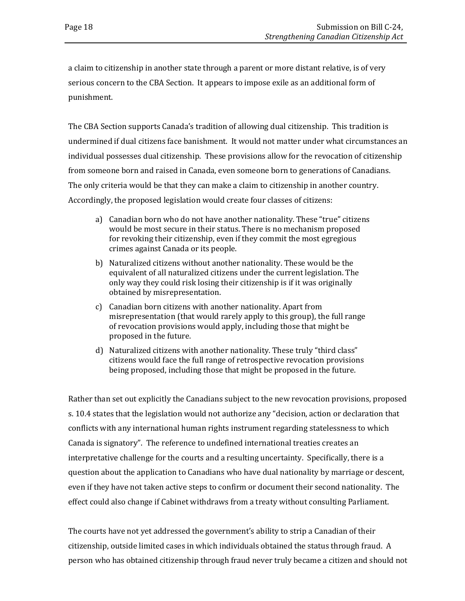a claim to citizenship in another state through a parent or more distant relative, is of very serious concern to the CBA Section. It appears to impose exile as an additional form of punishment.

The CBA Section supports Canada's tradition of allowing dual citizenship. This tradition is undermined if dual citizens face banishment. It would not matter under what circumstances an individual possesses dual citizenship. These provisions allow for the revocation of citizenship from someone born and raised in Canada, even someone born to generations of Canadians. The only criteria would be that they can make a claim to citizenship in another country. Accordingly, the proposed legislation would create four classes of citizens:

- a) Canadian born who do not have another nationality. These "true" citizens would be most secure in their status. There is no mechanism proposed for revoking their citizenship, even if they commit the most egregious crimes against Canada or its people.
- b) Naturalized citizens without another nationality. These would be the equivalent of all naturalized citizens under the current legislation. The only way they could risk losing their citizenship is if it was originally obtained by misrepresentation.
- c) Canadian born citizens with another nationality. Apart from misrepresentation (that would rarely apply to this group), the full range of revocation provisions would apply, including those that might be proposed in the future.
- d) Naturalized citizens with another nationality. These truly "third class" citizens would face the full range of retrospective revocation provisions being proposed, including those that might be proposed in the future.

Rather than set out explicitly the Canadians subject to the new revocation provisions, proposed s. 10.4 states that the legislation would not authorize any "decision, action or declaration that conflicts with any international human rights instrument regarding statelessness to which Canada is signatory". The reference to undefined international treaties creates an interpretative challenge for the courts and a resulting uncertainty. Specifically, there is a question about the application to Canadians who have dual nationality by marriage or descent, even if they have not taken active steps to confirm or document their second nationality. The effect could also change if Cabinet withdraws from a treaty without consulting Parliament.

The courts have not yet addressed the government's ability to strip a Canadian of their citizenship, outside limited cases in which individuals obtained the status through fraud. A person who has obtained citizenship through fraud never truly became a citizen and should not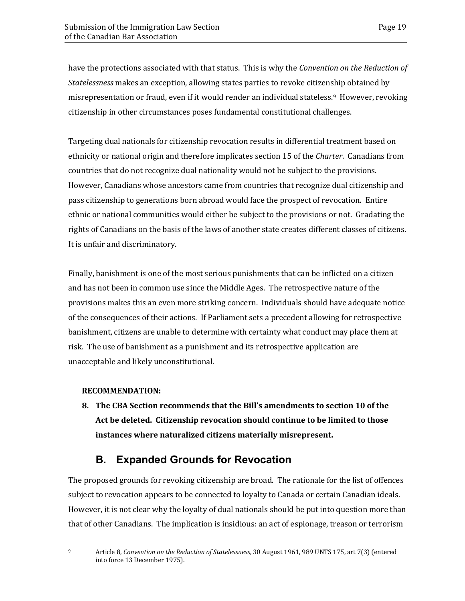have the protections associated with that status. This is why the *Convention on the Reduction of Statelessness* makes an exception, allowing states parties to revoke citizenship obtained by misrepresentation or fraud, even if it would render an individual stateless.<sup>[9](#page-22-1)</sup> However, revoking citizenship in other circumstances poses fundamental constitutional challenges.

Targeting dual nationals for citizenship revocation results in differential treatment based on ethnicity or national origin and therefore implicates section 15 of the *Charter*. Canadians from countries that do not recognize dual nationality would not be subject to the provisions. However, Canadians whose ancestors came from countries that recognize dual citizenship and pass citizenship to generations born abroad would face the prospect of revocation. Entire ethnic or national communities would either be subject to the provisions or not. Gradating the rights of Canadians on the basis of the laws of another state creates different classes of citizens. It is unfair and discriminatory.

Finally, banishment is one of the most serious punishments that can be inflicted on a citizen and has not been in common use since the Middle Ages. The retrospective nature of the provisions makes this an even more striking concern. Individuals should have adequate notice of the consequences of their actions. If Parliament sets a precedent allowing for retrospective banishment, citizens are unable to determine with certainty what conduct may place them at risk. The use of banishment as a punishment and its retrospective application are unacceptable and likely unconstitutional.

#### **RECOMMENDATION:**

**8. The CBA Section recommends that the Bill's amendments to section 10 of the Act be deleted. Citizenship revocation should continue to be limited to those instances where naturalized citizens materially misrepresent.**

### **B. Expanded Grounds for Revocation**

<span id="page-22-0"></span>The proposed grounds for revoking citizenship are broad. The rationale for the list of offences subject to revocation appears to be connected to loyalty to Canada or certain Canadian ideals. However, it is not clear why the loyalty of dual nationals should be put into question more than that of other Canadians. The implication is insidious: an act of espionage, treason or terrorism

<span id="page-22-1"></span>9

<sup>9</sup> Article 8, *Convention on the Reduction of Statelessness*, 30 August 1961, 989 UNTS 175, art 7(3) (entered into force 13 December 1975).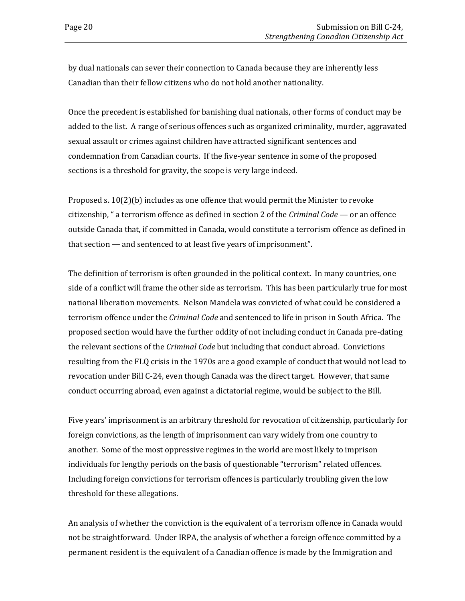by dual nationals can sever their connection to Canada because they are inherently less Canadian than their fellow citizens who do not hold another nationality.

Once the precedent is established for banishing dual nationals, other forms of conduct may be added to the list. A range of serious offences such as organized criminality, murder, aggravated sexual assault or crimes against children have attracted significant sentences and condemnation from Canadian courts. If the five-year sentence in some of the proposed sections is a threshold for gravity, the scope is very large indeed.

Proposed s. 10(2)(b) includes as one offence that would permit the Minister to revoke citizenship, " a terrorism offence as defined in section 2 of the *Criminal Code* — or an offence outside Canada that, if committed in Canada, would constitute a terrorism offence as defined in that section — and sentenced to at least five years of imprisonment".

The definition of terrorism is often grounded in the political context. In many countries, one side of a conflict will frame the other side as terrorism. This has been particularly true for most national liberation movements. Nelson Mandela was convicted of what could be considered a terrorism offence under the *Criminal Code* and sentenced to life in prison in South Africa. The proposed section would have the further oddity of not including conduct in Canada pre-dating the relevant sections of the *Criminal Code* but including that conduct abroad. Convictions resulting from the FLQ crisis in the 1970s are a good example of conduct that would not lead to revocation under Bill C-24, even though Canada was the direct target. However, that same conduct occurring abroad, even against a dictatorial regime, would be subject to the Bill.

Five years' imprisonment is an arbitrary threshold for revocation of citizenship, particularly for foreign convictions, as the length of imprisonment can vary widely from one country to another. Some of the most oppressive regimes in the world are most likely to imprison individuals for lengthy periods on the basis of questionable "terrorism" related offences. Including foreign convictions for terrorism offences is particularly troubling given the low threshold for these allegations.

An analysis of whether the conviction is the equivalent of a terrorism offence in Canada would not be straightforward. Under IRPA, the analysis of whether a foreign offence committed by a permanent resident is the equivalent of a Canadian offence is made by the Immigration and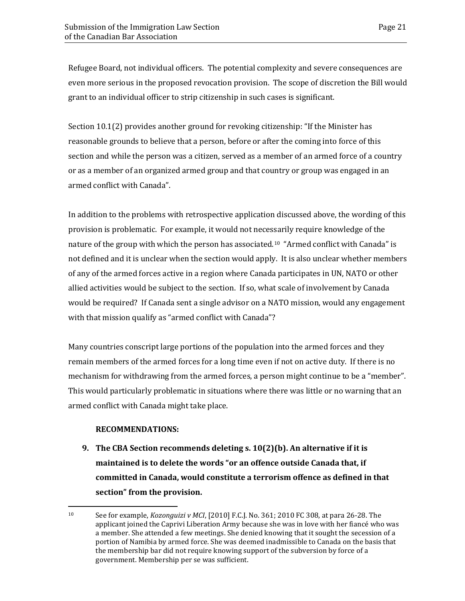Refugee Board, not individual officers. The potential complexity and severe consequences are even more serious in the proposed revocation provision. The scope of discretion the Bill would grant to an individual officer to strip citizenship in such cases is significant.

Section 10.1(2) provides another ground for revoking citizenship: "If the Minister has reasonable grounds to believe that a person, before or after the coming into force of this section and while the person was a citizen, served as a member of an armed force of a country or as a member of an organized armed group and that country or group was engaged in an armed conflict with Canada".

In addition to the problems with retrospective application discussed above, the wording of this provision is problematic. For example, it would not necessarily require knowledge of the nature of the group with which the person has associated.<sup>[10](#page-24-0)</sup> "Armed conflict with Canada" is not defined and it is unclear when the section would apply. It is also unclear whether members of any of the armed forces active in a region where Canada participates in UN, NATO or other allied activities would be subject to the section. If so, what scale of involvement by Canada would be required? If Canada sent a single advisor on a NATO mission, would any engagement with that mission qualify as "armed conflict with Canada"?

Many countries conscript large portions of the population into the armed forces and they remain members of the armed forces for a long time even if not on active duty. If there is no mechanism for withdrawing from the armed forces, a person might continue to be a "member". This would particularly problematic in situations where there was little or no warning that an armed conflict with Canada might take place.

#### **RECOMMENDATIONS:**

**9. The CBA Section recommends deleting s. 10(2)(b). An alternative if it is maintained is to delete the words "or an offence outside Canada that, if committed in Canada, would constitute a terrorism offence as defined in that section" from the provision.** 

<span id="page-24-0"></span> $10<sup>1</sup>$ <sup>10</sup> See for example, *Kozonguizi v MCI*, [2010] F.C.J. No. 361; 2010 FC 308, at para 26-28. The applicant joined the Caprivi Liberation Army because she was in love with her fiancé who was a member. She attended a few meetings. She denied knowing that it sought the secession of a portion of Namibia by armed force. She was deemed inadmissible to Canada on the basis that the membership bar did not require knowing support of the subversion by force of a government. Membership per se was sufficient.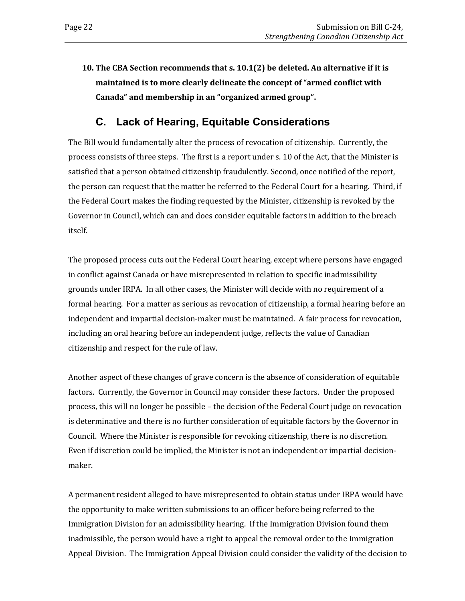**10. The CBA Section recommends that s. 10.1(2) be deleted. An alternative if it is maintained is to more clearly delineate the concept of "armed conflict with Canada" and membership in an "organized armed group".**

### **C. Lack of Hearing, Equitable Considerations**

<span id="page-25-0"></span>The Bill would fundamentally alter the process of revocation of citizenship. Currently, the process consists of three steps. The first is a report under s. 10 of the Act, that the Minister is satisfied that a person obtained citizenship fraudulently. Second, once notified of the report, the person can request that the matter be referred to the Federal Court for a hearing. Third, if the Federal Court makes the finding requested by the Minister, citizenship is revoked by the Governor in Council, which can and does consider equitable factors in addition to the breach itself.

The proposed process cuts out the Federal Court hearing, except where persons have engaged in conflict against Canada or have misrepresented in relation to specific inadmissibility grounds under IRPA. In all other cases, the Minister will decide with no requirement of a formal hearing. For a matter as serious as revocation of citizenship, a formal hearing before an independent and impartial decision-maker must be maintained. A fair process for revocation, including an oral hearing before an independent judge, reflects the value of Canadian citizenship and respect for the rule of law.

Another aspect of these changes of grave concern is the absence of consideration of equitable factors. Currently, the Governor in Council may consider these factors. Under the proposed process, this will no longer be possible – the decision of the Federal Court judge on revocation is determinative and there is no further consideration of equitable factors by the Governor in Council. Where the Minister is responsible for revoking citizenship, there is no discretion. Even if discretion could be implied, the Minister is not an independent or impartial decisionmaker.

A permanent resident alleged to have misrepresented to obtain status under IRPA would have the opportunity to make written submissions to an officer before being referred to the Immigration Division for an admissibility hearing. If the Immigration Division found them inadmissible, the person would have a right to appeal the removal order to the Immigration Appeal Division. The Immigration Appeal Division could consider the validity of the decision to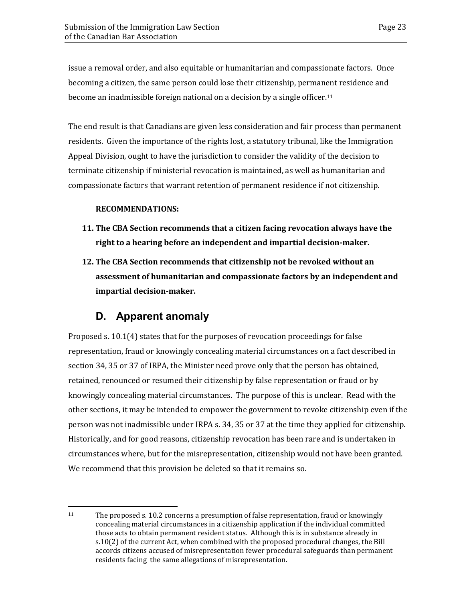issue a removal order, and also equitable or humanitarian and compassionate factors. Once becoming a citizen, the same person could lose their citizenship, permanent residence and become an inadmissible foreign national on a decision by a single officer.[11](#page-26-1)

The end result is that Canadians are given less consideration and fair process than permanent residents. Given the importance of the rights lost, a statutory tribunal, like the Immigration Appeal Division, ought to have the jurisdiction to consider the validity of the decision to terminate citizenship if ministerial revocation is maintained, as well as humanitarian and compassionate factors that warrant retention of permanent residence if not citizenship.

#### **RECOMMENDATIONS:**

- **11. The CBA Section recommends that a citizen facing revocation always have the right to a hearing before an independent and impartial decision-maker.**
- **12. The CBA Section recommends that citizenship not be revoked without an assessment of humanitarian and compassionate factors by an independent and impartial decision-maker.**

### **D. Apparent anomaly**

<span id="page-26-0"></span>Proposed s. 10.1(4) states that for the purposes of revocation proceedings for false representation, fraud or knowingly concealing material circumstances on a fact described in section 34, 35 or 37 of IRPA, the Minister need prove only that the person has obtained, retained, renounced or resumed their citizenship by false representation or fraud or by knowingly concealing material circumstances. The purpose of this is unclear. Read with the other sections, it may be intended to empower the government to revoke citizenship even if the person was not inadmissible under IRPA s. 34, 35 or 37 at the time they applied for citizenship. Historically, and for good reasons, citizenship revocation has been rare and is undertaken in circumstances where, but for the misrepresentation, citizenship would not have been granted. We recommend that this provision be deleted so that it remains so.

<span id="page-26-1"></span> $11$ The proposed s. 10.2 concerns a presumption of false representation, fraud or knowingly concealing material circumstances in a citizenship application if the individual committed those acts to obtain permanent resident status. Although this is in substance already in s.10(2) of the current Act, when combined with the proposed procedural changes, the Bill accords citizens accused of misrepresentation fewer procedural safeguards than permanent residents facing the same allegations of misrepresentation.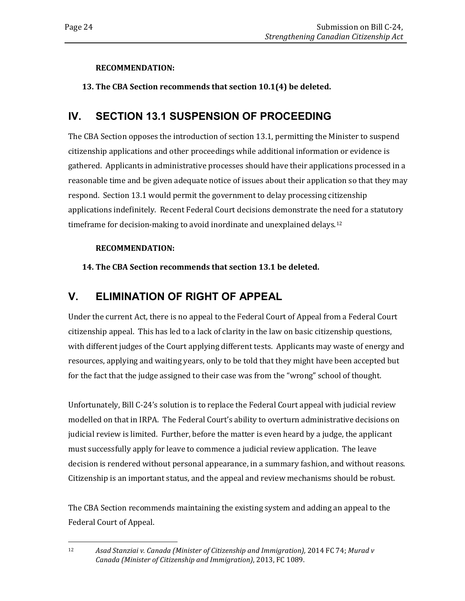### **RECOMMENDATION:**

### **13. The CBA Section recommends that section 10.1(4) be deleted.**

### <span id="page-27-0"></span>**IV. SECTION 13.1 SUSPENSION OF PROCEEDING**

The CBA Section opposes the introduction of section 13.1, permitting the Minister to suspend citizenship applications and other proceedings while additional information or evidence is gathered. Applicants in administrative processes should have their applications processed in a reasonable time and be given adequate notice of issues about their application so that they may respond. Section 13.1 would permit the government to delay processing citizenship applications indefinitely. Recent Federal Court decisions demonstrate the need for a statutory timeframe for decision-making to avoid inordinate and unexplained delays.<sup>[12](#page-27-2)</sup>

### **RECOMMENDATION:**

### **14. The CBA Section recommends that section 13.1 be deleted.**

### <span id="page-27-1"></span>**V. ELIMINATION OF RIGHT OF APPEAL**

Under the current Act, there is no appeal to the Federal Court of Appeal from a Federal Court citizenship appeal. This has led to a lack of clarity in the law on basic citizenship questions, with different judges of the Court applying different tests. Applicants may waste of energy and resources, applying and waiting years, only to be told that they might have been accepted but for the fact that the judge assigned to their case was from the "wrong" school of thought.

Unfortunately, Bill C-24's solution is to replace the Federal Court appeal with judicial review modelled on that in IRPA. The Federal Court's ability to overturn administrative decisions on judicial review is limited. Further, before the matter is even heard by a judge, the applicant must successfully apply for leave to commence a judicial review application. The leave decision is rendered without personal appearance, in a summary fashion, and without reasons. Citizenship is an important status, and the appeal and review mechanisms should be robust.

The CBA Section recommends maintaining the existing system and adding an appeal to the Federal Court of Appeal.

<span id="page-27-2"></span> $12 \overline{ }$ <sup>12</sup> *Asad Stanziai v. Canada (Minister of Citizenship and Immigration),* 2014 FC 74; *Murad v Canada (Minister of Citizenship and Immigration)*, 2013, FC 1089.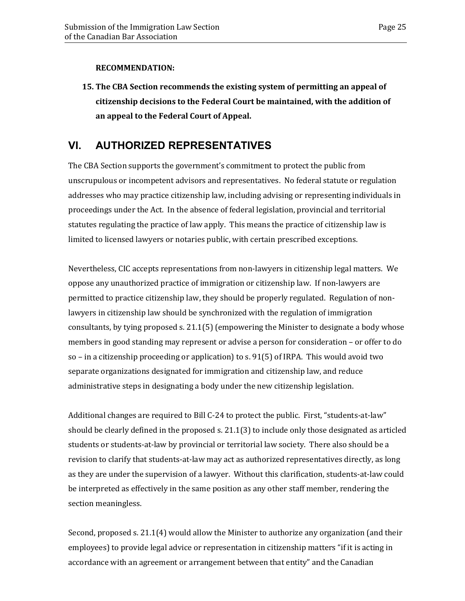#### **RECOMMENDATION:**

**15. The CBA Section recommends the existing system of permitting an appeal of citizenship decisions to the Federal Court be maintained, with the addition of an appeal to the Federal Court of Appeal.** 

### <span id="page-28-0"></span>**VI. AUTHORIZED REPRESENTATIVES**

The CBA Section supports the government's commitment to protect the public from unscrupulous or incompetent advisors and representatives. No federal statute or regulation addresses who may practice citizenship law, including advising or representing individuals in proceedings under the Act. In the absence of federal legislation, provincial and territorial statutes regulating the practice of law apply. This means the practice of citizenship law is limited to licensed lawyers or notaries public, with certain prescribed exceptions.

Nevertheless, CIC accepts representations from non-lawyers in citizenship legal matters. We oppose any unauthorized practice of immigration or citizenship law. If non-lawyers are permitted to practice citizenship law, they should be properly regulated. Regulation of nonlawyers in citizenship law should be synchronized with the regulation of immigration consultants, by tying proposed s. 21.1(5) (empowering the Minister to designate a body whose members in good standing may represent or advise a person for consideration – or offer to do so – in a citizenship proceeding or application) to s. 91(5) of IRPA. This would avoid two separate organizations designated for immigration and citizenship law, and reduce administrative steps in designating a body under the new citizenship legislation.

Additional changes are required to Bill C-24 to protect the public. First, "students-at-law" should be clearly defined in the proposed s. 21.1(3) to include only those designated as articled students or students-at-law by provincial or territorial law society. There also should be a revision to clarify that students-at-law may act as authorized representatives directly, as long as they are under the supervision of a lawyer. Without this clarification, students-at-law could be interpreted as effectively in the same position as any other staff member, rendering the section meaningless.

Second, proposed s. 21.1(4) would allow the Minister to authorize any organization (and their employees) to provide legal advice or representation in citizenship matters "if it is acting in accordance with an agreement or arrangement between that entity" and the Canadian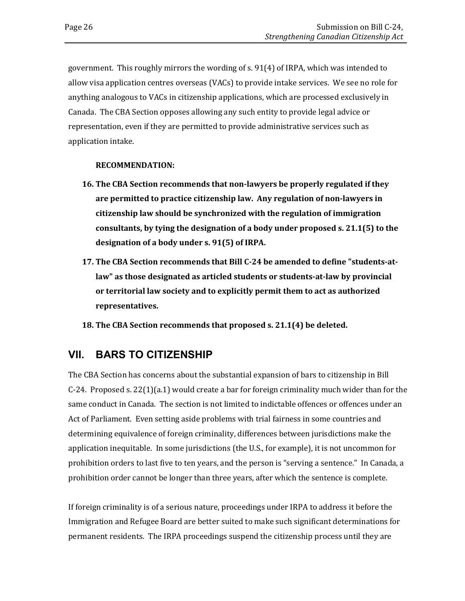government. This roughly mirrors the wording of s. 91(4) of IRPA, which was intended to allow visa application centres overseas (VACs) to provide intake services. We see no role for anything analogous to VACs in citizenship applications, which are processed exclusively in Canada. The CBA Section opposes allowing any such entity to provide legal advice or representation, even if they are permitted to provide administrative services such as application intake.

#### **RECOMMENDATION:**

- **16. The CBA Section recommends that non-lawyers be properly regulated if they are permitted to practice citizenship law. Any regulation of non-lawyers in citizenship law should be synchronized with the regulation of immigration consultants, by tying the designation of a body under proposed s. 21.1(5) to the designation of a body under s. 91(5) of IRPA.**
- **17. The CBA Section recommends that Bill C-24 be amended to define "students-atlaw" as those designated as articled students or students-at-law by provincial or territorial law society and to explicitly permit them to act as authorized representatives.**
- **18. The CBA Section recommends that proposed s. 21.1(4) be deleted.**

### <span id="page-29-0"></span>**VII. BARS TO CITIZENSHIP**

The CBA Section has concerns about the substantial expansion of bars to citizenship in Bill  $C-24$ . Proposed s. 22(1)(a.1) would create a bar for foreign criminality much wider than for the same conduct in Canada. The section is not limited to indictable offences or offences under an Act of Parliament. Even setting aside problems with trial fairness in some countries and determining equivalence of foreign criminality, differences between jurisdictions make the application inequitable. In some jurisdictions (the U.S., for example), it is not uncommon for prohibition orders to last five to ten years, and the person is "serving a sentence." In Canada, a prohibition order cannot be longer than three years, after which the sentence is complete.

If foreign criminality is of a serious nature, proceedings under IRPA to address it before the Immigration and Refugee Board are better suited to make such significant determinations for permanent residents. The IRPA proceedings suspend the citizenship process until they are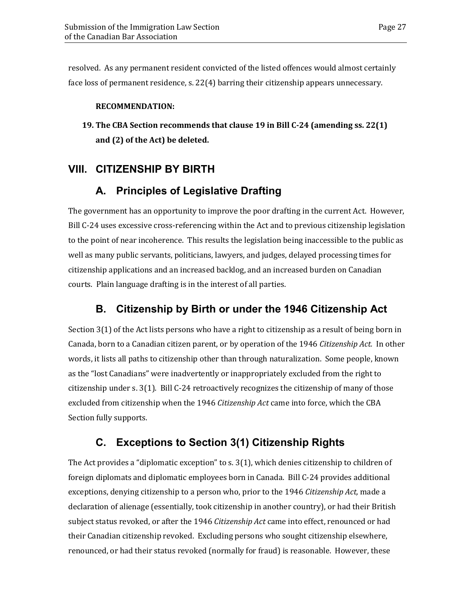resolved. As any permanent resident convicted of the listed offences would almost certainly face loss of permanent residence, s. 22(4) barring their citizenship appears unnecessary.

### **RECOMMENDATION:**

**19. The CBA Section recommends that clause 19 in Bill C-24 (amending ss. 22(1) and (2) of the Act) be deleted.**

### <span id="page-30-1"></span><span id="page-30-0"></span>**VIII. CITIZENSHIP BY BIRTH**

### **A. Principles of Legislative Drafting**

The government has an opportunity to improve the poor drafting in the current Act. However, Bill C-24 uses excessive cross-referencing within the Act and to previous citizenship legislation to the point of near incoherence. This results the legislation being inaccessible to the public as well as many public servants, politicians, lawyers, and judges, delayed processing times for citizenship applications and an increased backlog, and an increased burden on Canadian courts. Plain language drafting is in the interest of all parties.

### <span id="page-30-2"></span>**B. Citizenship by Birth or under the 1946 Citizenship Act**

Section 3(1) of the Act lists persons who have a right to citizenship as a result of being born in Canada, born to a Canadian citizen parent, or by operation of the 1946 *Citizenship Act.* In other words, it lists all paths to citizenship other than through naturalization. Some people, known as the "lost Canadians" were inadvertently or inappropriately excluded from the right to citizenship under s. 3(1). Bill C-24 retroactively recognizes the citizenship of many of those excluded from citizenship when the 1946 *Citizenship Act* came into force, which the CBA Section fully supports.

### <span id="page-30-3"></span>**C. Exceptions to Section 3(1) Citizenship Rights**

The Act provides a "diplomatic exception" to s. 3(1), which denies citizenship to children of foreign diplomats and diplomatic employees born in Canada. Bill C-24 provides additional exceptions, denying citizenship to a person who, prior to the 1946 *Citizenship Act,* made a declaration of alienage (essentially, took citizenship in another country), or had their British subject status revoked, or after the 1946 *Citizenship Act* came into effect, renounced or had their Canadian citizenship revoked. Excluding persons who sought citizenship elsewhere, renounced, or had their status revoked (normally for fraud) is reasonable. However, these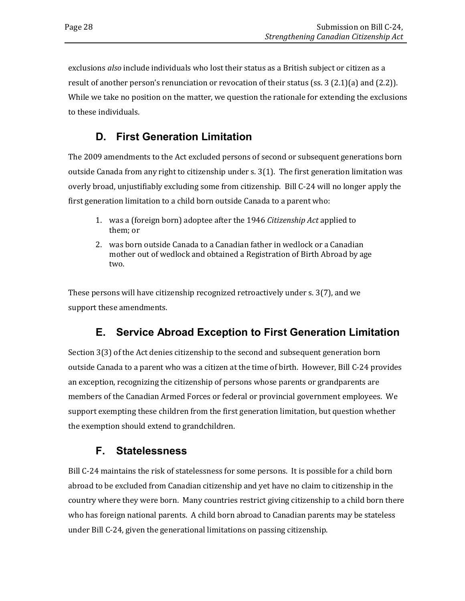exclusions *also* include individuals who lost their status as a British subject or citizen as a result of another person's renunciation or revocation of their status (ss. 3 (2.1)(a) and (2.2)). While we take no position on the matter, we question the rationale for extending the exclusions to these individuals.

### <span id="page-31-0"></span>**D. First Generation Limitation**

The 2009 amendments to the Act excluded persons of second or subsequent generations born outside Canada from any right to citizenship under s. 3(1). The first generation limitation was overly broad, unjustifiably excluding some from citizenship. Bill C-24 will no longer apply the first generation limitation to a child born outside Canada to a parent who:

- 1. was a (foreign born) adoptee after the 1946 *Citizenship Act* applied to them; or
- 2. was born outside Canada to a Canadian father in wedlock or a Canadian mother out of wedlock and obtained a Registration of Birth Abroad by age two.

These persons will have citizenship recognized retroactively under s. 3(7), and we support these amendments.

### **E. Service Abroad Exception to First Generation Limitation**

<span id="page-31-1"></span>Section 3(3) of the Act denies citizenship to the second and subsequent generation born outside Canada to a parent who was a citizen at the time of birth. However, Bill C-24 provides an exception, recognizing the citizenship of persons whose parents or grandparents are members of the Canadian Armed Forces or federal or provincial government employees. We support exempting these children from the first generation limitation, but question whether the exemption should extend to grandchildren.

### <span id="page-31-2"></span>**F. Statelessness**

Bill C-24 maintains the risk of statelessness for some persons. It is possible for a child born abroad to be excluded from Canadian citizenship and yet have no claim to citizenship in the country where they were born. Many countries restrict giving citizenship to a child born there who has foreign national parents. A child born abroad to Canadian parents may be stateless under Bill C-24, given the generational limitations on passing citizenship.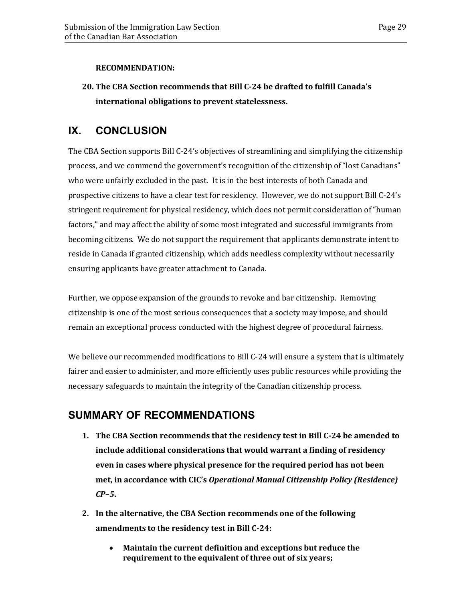#### **RECOMMENDATION:**

**20. The CBA Section recommends that Bill C-24 be drafted to fulfill Canada's international obligations to prevent statelessness.**

### <span id="page-32-0"></span>**IX. CONCLUSION**

The CBA Section supports Bill C-24's objectives of streamlining and simplifying the citizenship process, and we commend the government's recognition of the citizenship of "lost Canadians" who were unfairly excluded in the past. It is in the best interests of both Canada and prospective citizens to have a clear test for residency. However, we do not support Bill C-24's stringent requirement for physical residency, which does not permit consideration of "human factors," and may affect the ability of some most integrated and successful immigrants from becoming citizens. We do not support the requirement that applicants demonstrate intent to reside in Canada if granted citizenship, which adds needless complexity without necessarily ensuring applicants have greater attachment to Canada.

Further, we oppose expansion of the grounds to revoke and bar citizenship. Removing citizenship is one of the most serious consequences that a society may impose, and should remain an exceptional process conducted with the highest degree of procedural fairness.

We believe our recommended modifications to Bill C-24 will ensure a system that is ultimately fairer and easier to administer, and more efficiently uses public resources while providing the necessary safeguards to maintain the integrity of the Canadian citizenship process.

### <span id="page-32-1"></span>**SUMMARY OF RECOMMENDATIONS**

- **1. The CBA Section recommends that the residency test in Bill C-24 be amended to include additional considerations that would warrant a finding of residency even in cases where physical presence for the required period has not been met, in accordance with CIC's** *Operational Manual Citizenship Policy (Residence) CP–5***.**
- **2. In the alternative, the CBA Section recommends one of the following amendments to the residency test in Bill C-24:**
	- **Maintain the current definition and exceptions but reduce the requirement to the equivalent of three out of six years;**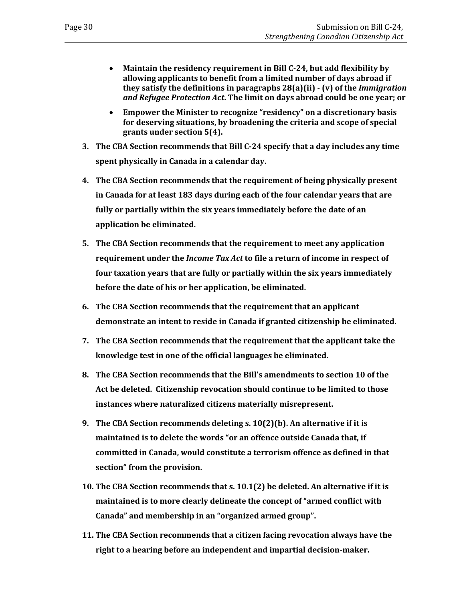- **Maintain the residency requirement in Bill C-24, but add flexibility by allowing applicants to benefit from a limited number of days abroad if they satisfy the definitions in paragraphs 28(a)(ii) - (v) of the** *Immigration and Refugee Protection Act***. The limit on days abroad could be one year; or**
- **Empower the Minister to recognize "residency" on a discretionary basis for deserving situations, by broadening the criteria and scope of special grants under section 5(4).**
- **3. The CBA Section recommends that Bill C-24 specify that a day includes any time spent physically in Canada in a calendar day.**
- **4. The CBA Section recommends that the requirement of being physically present in Canada for at least 183 days during each of the four calendar years that are fully or partially within the six years immediately before the date of an application be eliminated.**
- **5. The CBA Section recommends that the requirement to meet any application requirement under the** *Income Tax Act* **to file a return of income in respect of four taxation years that are fully or partially within the six years immediately before the date of his or her application, be eliminated.**
- **6. The CBA Section recommends that the requirement that an applicant demonstrate an intent to reside in Canada if granted citizenship be eliminated.**
- **7. The CBA Section recommends that the requirement that the applicant take the knowledge test in one of the official languages be eliminated.**
- **8. The CBA Section recommends that the Bill's amendments to section 10 of the Act be deleted. Citizenship revocation should continue to be limited to those instances where naturalized citizens materially misrepresent.**
- **9. The CBA Section recommends deleting s. 10(2)(b). An alternative if it is maintained is to delete the words "or an offence outside Canada that, if committed in Canada, would constitute a terrorism offence as defined in that section" from the provision.**
- **10. The CBA Section recommends that s. 10.1(2) be deleted. An alternative if it is maintained is to more clearly delineate the concept of "armed conflict with Canada" and membership in an "organized armed group".**
- **11. The CBA Section recommends that a citizen facing revocation always have the right to a hearing before an independent and impartial decision-maker.**